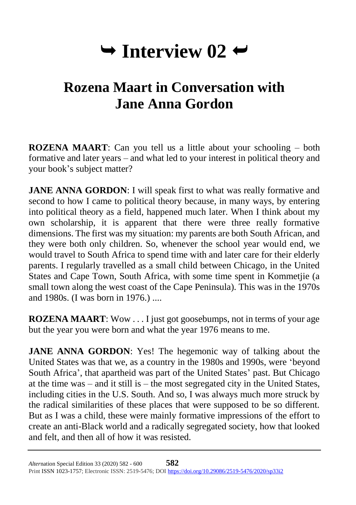# $\rightarrow$  Interview 02  $\rightarrow$

# **Rozena Maart in Conversation with Jane Anna Gordon**

**ROZENA MAART**: Can you tell us a little about your schooling – both formative and later years – and what led to your interest in political theory and your book's subject matter?

**JANE ANNA GORDON:** I will speak first to what was really formative and second to how I came to political theory because, in many ways, by entering into political theory as a field, happened much later. When I think about my own scholarship, it is apparent that there were three really formative dimensions. The first was my situation: my parents are both South African, and they were both only children. So, whenever the school year would end, we would travel to South Africa to spend time with and later care for their elderly parents. I regularly travelled as a small child between Chicago, in the United States and Cape Town, South Africa, with some time spent in Kommetjie (a small town along the west coast of the Cape Peninsula). This was in the 1970s and 1980s. (I was born in 1976.) ....

**ROZENA MAART:** Wow . . . I just got goosebumps, not in terms of your age but the year you were born and what the year 1976 means to me.

**JANE ANNA GORDON:** Yes! The hegemonic way of talking about the United States was that we, as a country in the 1980s and 1990s, were 'beyond South Africa', that apartheid was part of the United States' past. But Chicago at the time was – and it still is – the most segregated city in the United States, including cities in the U.S. South. And so, I was always much more struck by the radical similarities of these places that were supposed to be so different. But as I was a child, these were mainly formative impressions of the effort to create an anti-Black world and a radically segregated society, how that looked and felt, and then all of how it was resisted.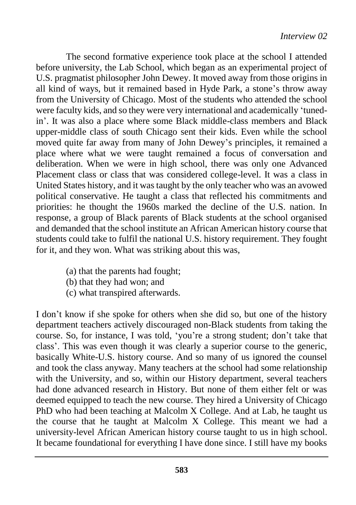The second formative experience took place at the school I attended before university, the Lab School, which began as an experimental project of U.S. pragmatist philosopher John Dewey. It moved away from those origins in all kind of ways, but it remained based in Hyde Park, a stone's throw away from the University of Chicago. Most of the students who attended the school were faculty kids, and so they were very international and academically 'tunedin'. It was also a place where some Black middle-class members and Black upper-middle class of south Chicago sent their kids. Even while the school moved quite far away from many of John Dewey's principles, it remained a place where what we were taught remained a focus of conversation and deliberation. When we were in high school, there was only one Advanced Placement class or class that was considered college-level. It was a class in United States history, and it was taught by the only teacher who was an avowed political conservative. He taught a class that reflected his commitments and priorities: he thought the 1960s marked the decline of the U.S. nation. In response, a group of Black parents of Black students at the school organised and demanded that the school institute an African American history course that students could take to fulfil the national U.S. history requirement. They fought for it, and they won. What was striking about this was,

- (a) that the parents had fought;
- (b) that they had won; and
- (c) what transpired afterwards.

I don't know if she spoke for others when she did so, but one of the history department teachers actively discouraged non-Black students from taking the course. So, for instance, I was told, 'you're a strong student; don't take that class'. This was even though it was clearly a superior course to the generic, basically White-U.S. history course. And so many of us ignored the counsel and took the class anyway. Many teachers at the school had some relationship with the University, and so, within our History department, several teachers had done advanced research in History. But none of them either felt or was deemed equipped to teach the new course. They hired a University of Chicago PhD who had been teaching at Malcolm X College. And at Lab, he taught us the course that he taught at Malcolm X College. This meant we had a university-level African American history course taught to us in high school. It became foundational for everything I have done since. I still have my books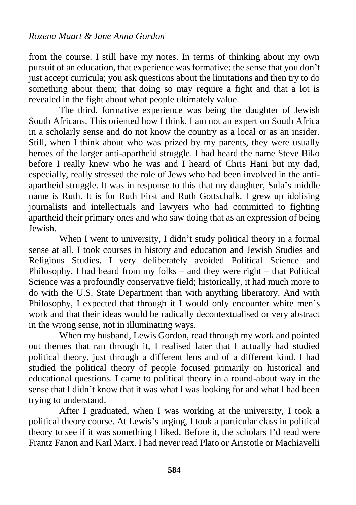from the course. I still have my notes. In terms of thinking about my own pursuit of an education, that experience was formative: the sense that you don't just accept curricula; you ask questions about the limitations and then try to do something about them; that doing so may require a fight and that a lot is revealed in the fight about what people ultimately value.

The third, formative experience was being the daughter of Jewish South Africans. This oriented how I think. I am not an expert on South Africa in a scholarly sense and do not know the country as a local or as an insider. Still, when I think about who was prized by my parents, they were usually heroes of the larger anti-apartheid struggle. I had heard the name Steve Biko before I really knew who he was and I heard of Chris Hani but my dad, especially, really stressed the role of Jews who had been involved in the antiapartheid struggle. It was in response to this that my daughter, Sula's middle name is Ruth. It is for Ruth First and Ruth Gottschalk. I grew up idolising journalists and intellectuals and lawyers who had committed to fighting apartheid their primary ones and who saw doing that as an expression of being Jewish.

When I went to university, I didn't study political theory in a formal sense at all. I took courses in history and education and Jewish Studies and Religious Studies. I very deliberately avoided Political Science and Philosophy. I had heard from my folks – and they were right – that Political Science was a profoundly conservative field; historically, it had much more to do with the U.S. State Department than with anything liberatory. And with Philosophy, I expected that through it I would only encounter white men's work and that their ideas would be radically decontextualised or very abstract in the wrong sense, not in illuminating ways.

When my husband, Lewis Gordon, read through my work and pointed out themes that ran through it, I realised later that I actually had studied political theory, just through a different lens and of a different kind. I had studied the political theory of people focused primarily on historical and educational questions. I came to political theory in a round-about way in the sense that I didn't know that it was what I was looking for and what I had been trying to understand.

After I graduated, when I was working at the university, I took a political theory course. At Lewis's urging, I took a particular class in political theory to see if it was something I liked. Before it, the scholars I'd read were Frantz Fanon and Karl Marx. I had never read Plato or Aristotle or Machiavelli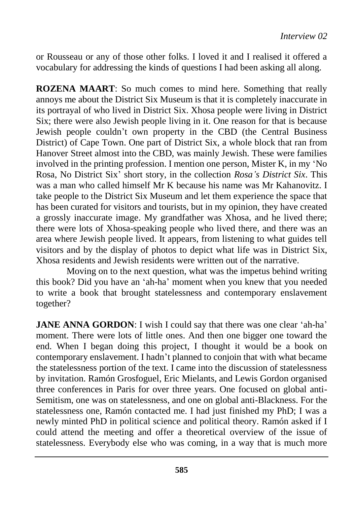or Rousseau or any of those other folks. I loved it and I realised it offered a vocabulary for addressing the kinds of questions I had been asking all along.

**ROZENA MAART**: So much comes to mind here. Something that really annoys me about the District Six Museum is that it is completely inaccurate in its portrayal of who lived in District Six. Xhosa people were living in District Six; there were also Jewish people living in it. One reason for that is because Jewish people couldn't own property in the CBD (the Central Business District) of Cape Town. One part of District Six, a whole block that ran from Hanover Street almost into the CBD, was mainly Jewish. These were families involved in the printing profession. I mention one person, Mister K, in my 'No Rosa, No District Six' short story, in the collection *Rosa's District Six*. This was a man who called himself Mr K because his name was Mr Kahanovitz. I take people to the District Six Museum and let them experience the space that has been curated for visitors and tourists, but in my opinion, they have created a grossly inaccurate image. My grandfather was Xhosa, and he lived there; there were lots of Xhosa-speaking people who lived there, and there was an area where Jewish people lived. It appears, from listening to what guides tell visitors and by the display of photos to depict what life was in District Six, Xhosa residents and Jewish residents were written out of the narrative.

Moving on to the next question, what was the impetus behind writing this book? Did you have an 'ah-ha' moment when you knew that you needed to write a book that brought statelessness and contemporary enslavement together?

**JANE ANNA GORDON:** I wish I could say that there was one clear 'ah-ha' moment. There were lots of little ones. And then one bigger one toward the end. When I began doing this project, I thought it would be a book on contemporary enslavement. I hadn't planned to conjoin that with what became the statelessness portion of the text. I came into the discussion of statelessness by invitation. Ramón Grosfoguel, Eric Mielants, and Lewis Gordon organised three conferences in Paris for over three years. One focused on global anti-Semitism, one was on statelessness, and one on global anti-Blackness. For the statelessness one, Ramón contacted me. I had just finished my PhD; I was a newly minted PhD in political science and political theory. Ramón asked if I could attend the meeting and offer a theoretical overview of the issue of statelessness. Everybody else who was coming, in a way that is much more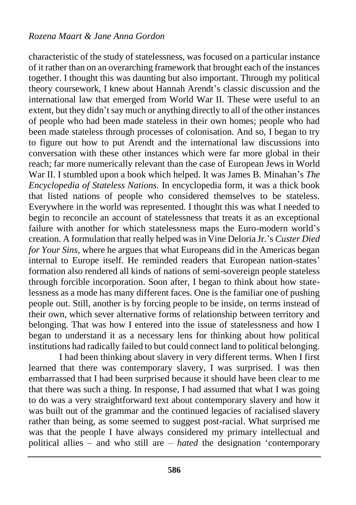characteristic of the study of statelessness, was focused on a particular instance of it rather than on an overarching framework that brought each of the instances together. I thought this was daunting but also important. Through my political theory coursework, I knew about Hannah Arendt's classic discussion and the international law that emerged from World War II. These were useful to an extent, but they didn't say much or anything directly to all of the other instances of people who had been made stateless in their own homes; people who had been made stateless through processes of colonisation. And so, I began to try to figure out how to put Arendt and the international law discussions into conversation with these other instances which were far more global in their reach; far more numerically relevant than the case of European Jews in World War II. I stumbled upon a book which helped. It was James B. Minahan's *The Encyclopedia of Stateless Nations.* In encyclopedia form, it was a thick book that listed nations of people who considered themselves to be stateless. Everywhere in the world was represented. I thought this was what I needed to begin to reconcile an account of statelessness that treats it as an exceptional failure with another for which statelessness maps the Euro-modern world's creation. A formulation that really helped was in Vine Deloria Jr.'s *Custer Died for Your Sins*, where he argues that what Europeans did in the Americas began internal to Europe itself. He reminded readers that European nation-states' formation also rendered all kinds of nations of semi-sovereign people stateless through forcible incorporation. Soon after, I began to think about how statelessness as a mode has many different faces. One is the familiar one of pushing people out. Still, another is by forcing people to be inside, on terms instead of their own, which sever alternative forms of relationship between territory and belonging. That was how I entered into the issue of statelessness and how I began to understand it as a necessary lens for thinking about how political institutions had radically failed to but could connect land to political belonging.

I had been thinking about slavery in very different terms. When I first learned that there was contemporary slavery, I was surprised. I was then embarrassed that I had been surprised because it should have been clear to me that there was such a thing. In response, I had assumed that what I was going to do was a very straightforward text about contemporary slavery and how it was built out of the grammar and the continued legacies of racialised slavery rather than being, as some seemed to suggest post-racial. What surprised me was that the people I have always considered my primary intellectual and political allies – and who still are – *hated* the designation 'contemporary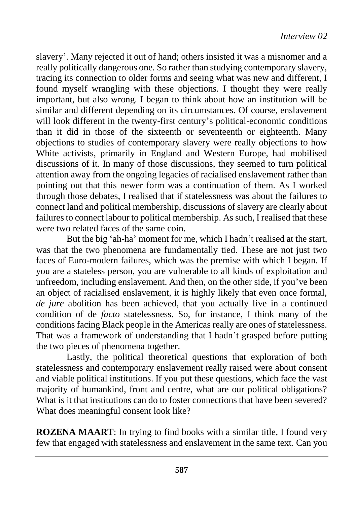slavery'. Many rejected it out of hand; others insisted it was a misnomer and a really politically dangerous one. So rather than studying contemporary slavery, tracing its connection to older forms and seeing what was new and different, I found myself wrangling with these objections. I thought they were really important, but also wrong. I began to think about how an institution will be similar and different depending on its circumstances. Of course, enslavement will look different in the twenty-first century's political-economic conditions than it did in those of the sixteenth or seventeenth or eighteenth. Many objections to studies of contemporary slavery were really objections to how White activists, primarily in England and Western Europe, had mobilised discussions of it. In many of those discussions, they seemed to turn political attention away from the ongoing legacies of racialised enslavement rather than pointing out that this newer form was a continuation of them. As I worked through those debates, I realised that if statelessness was about the failures to connect land and political membership, discussions of slavery are clearly about failures to connect labour to political membership. As such, I realised that these were two related faces of the same coin.

But the big 'ah-ha' moment for me, which I hadn't realised at the start, was that the two phenomena are fundamentally tied. These are not just two faces of Euro-modern failures, which was the premise with which I began. If you are a stateless person, you are vulnerable to all kinds of exploitation and unfreedom, including enslavement. And then, on the other side, if you've been an object of racialised enslavement, it is highly likely that even once formal, *de jure* abolition has been achieved, that you actually live in a continued condition of de *facto* statelessness. So, for instance, I think many of the conditions facing Black people in the Americas really are ones of statelessness. That was a framework of understanding that I hadn't grasped before putting the two pieces of phenomena together.

Lastly, the political theoretical questions that exploration of both statelessness and contemporary enslavement really raised were about consent and viable political institutions. If you put these questions, which face the vast majority of humankind, front and centre, what are our political obligations? What is it that institutions can do to foster connections that have been severed? What does meaningful consent look like?

**ROZENA MAART**: In trying to find books with a similar title, I found very few that engaged with statelessness and enslavement in the same text. Can you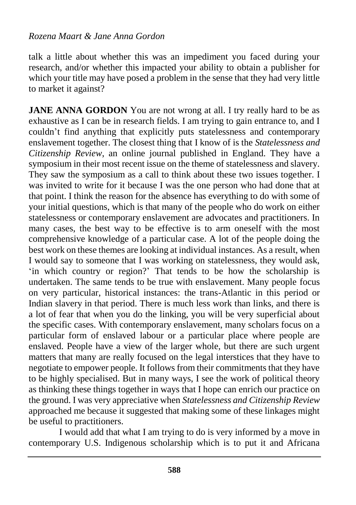talk a little about whether this was an impediment you faced during your research, and/or whether this impacted your ability to obtain a publisher for which your title may have posed a problem in the sense that they had very little to market it against?

**JANE ANNA GORDON** You are not wrong at all. I try really hard to be as exhaustive as I can be in research fields. I am trying to gain entrance to, and I couldn't find anything that explicitly puts statelessness and contemporary enslavement together. The closest thing that I know of is the *Statelessness and Citizenship Review*, an online journal published in England. They have a symposium in their most recent issue on the theme of statelessness and slavery. They saw the symposium as a call to think about these two issues together. I was invited to write for it because I was the one person who had done that at that point. I think the reason for the absence has everything to do with some of your initial questions, which is that many of the people who do work on either statelessness or contemporary enslavement are advocates and practitioners. In many cases, the best way to be effective is to arm oneself with the most comprehensive knowledge of a particular case. A lot of the people doing the best work on these themes are looking at individual instances. As a result, when I would say to someone that I was working on statelessness, they would ask, 'in which country or region?' That tends to be how the scholarship is undertaken. The same tends to be true with enslavement. Many people focus on very particular, historical instances: the trans-Atlantic in this period or Indian slavery in that period. There is much less work than links, and there is a lot of fear that when you do the linking, you will be very superficial about the specific cases. With contemporary enslavement, many scholars focus on a particular form of enslaved labour or a particular place where people are enslaved. People have a view of the larger whole, but there are such urgent matters that many are really focused on the legal interstices that they have to negotiate to empower people. It follows from their commitments that they have to be highly specialised. But in many ways, I see the work of political theory as thinking these things together in ways that I hope can enrich our practice on the ground. I was very appreciative when *Statelessness and Citizenship Review*  approached me because it suggested that making some of these linkages might be useful to practitioners.

I would add that what I am trying to do is very informed by a move in contemporary U.S. Indigenous scholarship which is to put it and Africana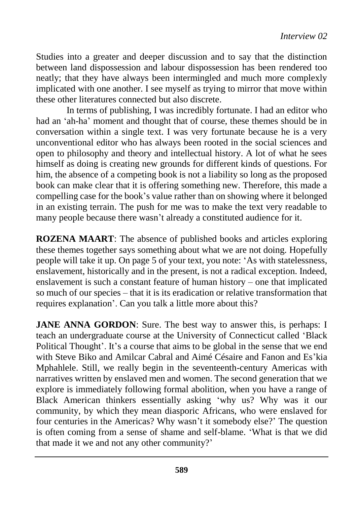Studies into a greater and deeper discussion and to say that the distinction between land dispossession and labour dispossession has been rendered too neatly; that they have always been intermingled and much more complexly implicated with one another. I see myself as trying to mirror that move within these other literatures connected but also discrete.

In terms of publishing, I was incredibly fortunate. I had an editor who had an 'ah-ha' moment and thought that of course, these themes should be in conversation within a single text. I was very fortunate because he is a very unconventional editor who has always been rooted in the social sciences and open to philosophy and theory and intellectual history. A lot of what he sees himself as doing is creating new grounds for different kinds of questions. For him, the absence of a competing book is not a liability so long as the proposed book can make clear that it is offering something new. Therefore, this made a compelling case for the book's value rather than on showing where it belonged in an existing terrain. The push for me was to make the text very readable to many people because there wasn't already a constituted audience for it.

**ROZENA MAART**: The absence of published books and articles exploring these themes together says something about what we are not doing. Hopefully people will take it up. On page 5 of your text, you note: 'As with statelessness, enslavement, historically and in the present, is not a radical exception. Indeed, enslavement is such a constant feature of human history – one that implicated so much of our species – that it is its eradication or relative transformation that requires explanation'. Can you talk a little more about this?

**JANE ANNA GORDON:** Sure. The best way to answer this, is perhaps: I teach an undergraduate course at the University of Connecticut called 'Black Political Thought'. It's a course that aims to be global in the sense that we end with Steve Biko and Amilcar Cabral and Aimé Césaire and Fanon and Es'kia Mphahlele. Still, we really begin in the seventeenth-century Americas with narratives written by enslaved men and women. The second generation that we explore is immediately following formal abolition, when you have a range of Black American thinkers essentially asking 'why us? Why was it our community, by which they mean diasporic Africans, who were enslaved for four centuries in the Americas? Why wasn't it somebody else?' The question is often coming from a sense of shame and self-blame. 'What is that we did that made it we and not any other community?'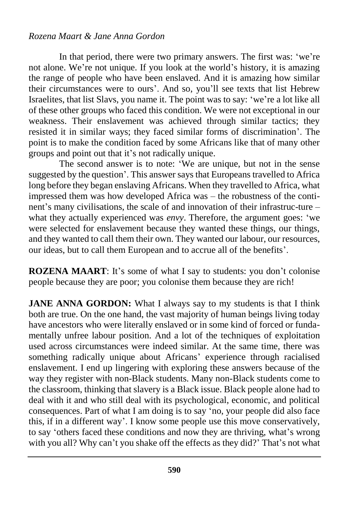In that period, there were two primary answers. The first was: 'we're not alone. We're not unique. If you look at the world's history, it is amazing the range of people who have been enslaved. And it is amazing how similar their circumstances were to ours'. And so, you'll see texts that list Hebrew Israelites, that list Slavs, you name it. The point was to say: 'we're a lot like all of these other groups who faced this condition. We were not exceptional in our weakness. Their enslavement was achieved through similar tactics; they resisted it in similar ways; they faced similar forms of discrimination'. The point is to make the condition faced by some Africans like that of many other groups and point out that it's not radically unique.

The second answer is to note: 'We are unique, but not in the sense suggested by the question'. This answer says that Europeans travelled to Africa long before they began enslaving Africans. When they travelled to Africa, what impressed them was how developed Africa was – the robustness of the continent's many civilisations, the scale of and innovation of their infrastruc-ture – what they actually experienced was *envy*. Therefore, the argument goes: 'we were selected for enslavement because they wanted these things, our things, and they wanted to call them their own. They wanted our labour, our resources, our ideas, but to call them European and to accrue all of the benefits'.

**ROZENA MAART**: It's some of what I say to students: you don't colonise people because they are poor; you colonise them because they are rich!

**JANE ANNA GORDON:** What I always say to my students is that I think both are true. On the one hand, the vast majority of human beings living today have ancestors who were literally enslaved or in some kind of forced or fundamentally unfree labour position. And a lot of the techniques of exploitation used across circumstances were indeed similar. At the same time, there was something radically unique about Africans' experience through racialised enslavement. I end up lingering with exploring these answers because of the way they register with non-Black students. Many non-Black students come to the classroom, thinking that slavery is a Black issue. Black people alone had to deal with it and who still deal with its psychological, economic, and political consequences. Part of what I am doing is to say 'no, your people did also face this, if in a different way'. I know some people use this move conservatively, to say 'others faced these conditions and now they are thriving, what's wrong with you all? Why can't you shake off the effects as they did?' That's not what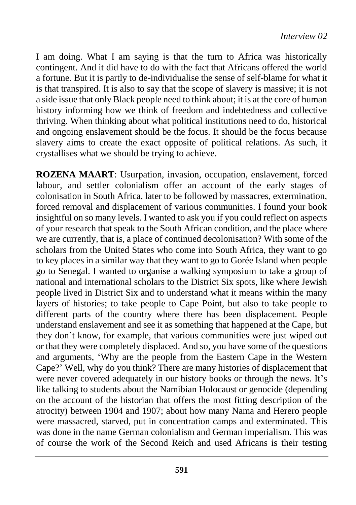I am doing. What I am saying is that the turn to Africa was historically contingent. And it did have to do with the fact that Africans offered the world a fortune. But it is partly to de-individualise the sense of self-blame for what it is that transpired. It is also to say that the scope of slavery is massive; it is not a side issue that only Black people need to think about; it is at the core of human history informing how we think of freedom and indebtedness and collective thriving. When thinking about what political institutions need to do, historical and ongoing enslavement should be the focus. It should be the focus because slavery aims to create the exact opposite of political relations. As such, it crystallises what we should be trying to achieve.

**ROZENA MAART**: Usurpation, invasion, occupation, enslavement, forced labour, and settler colonialism offer an account of the early stages of colonisation in South Africa, later to be followed by massacres, extermination, forced removal and displacement of various communities. I found your book insightful on so many levels. I wanted to ask you if you could reflect on aspects of your research that speak to the South African condition, and the place where we are currently, that is, a place of continued decolonisation? With some of the scholars from the United States who come into South Africa, they want to go to key places in a similar way that they want to go to Gorée Island when people go to Senegal. I wanted to organise a walking symposium to take a group of national and international scholars to the District Six spots, like where Jewish people lived in District Six and to understand what it means within the many layers of histories; to take people to Cape Point, but also to take people to different parts of the country where there has been displacement. People understand enslavement and see it as something that happened at the Cape, but they don't know, for example, that various communities were just wiped out or that they were completely displaced. And so, you have some of the questions and arguments, 'Why are the people from the Eastern Cape in the Western Cape?' Well, why do you think? There are many histories of displacement that were never covered adequately in our history books or through the news. It's like talking to students about the Namibian Holocaust or genocide (depending on the account of the historian that offers the most fitting description of the atrocity) between 1904 and 1907; about how many Nama and Herero people were massacred, starved, put in concentration camps and exterminated. This was done in the name German colonialism and German imperialism. This was of course the work of the Second Reich and used Africans is their testing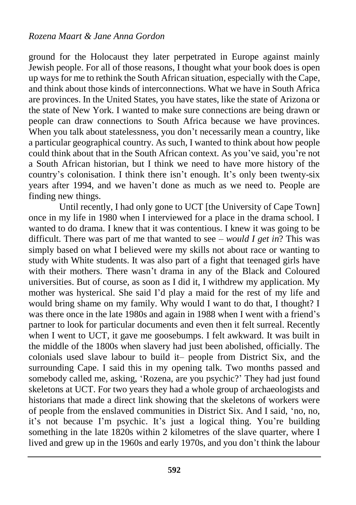ground for the Holocaust they later perpetrated in Europe against mainly Jewish people. For all of those reasons, I thought what your book does is open up ways for me to rethink the South African situation, especially with the Cape, and think about those kinds of interconnections. What we have in South Africa are provinces. In the United States, you have states, like the state of Arizona or the state of New York. I wanted to make sure connections are being drawn or people can draw connections to South Africa because we have provinces. When you talk about statelessness, you don't necessarily mean a country, like a particular geographical country. As such, I wanted to think about how people could think about that in the South African context. As you've said, you're not a South African historian, but I think we need to have more history of the country's colonisation. I think there isn't enough. It's only been twenty-six years after 1994, and we haven't done as much as we need to. People are finding new things.

Until recently, I had only gone to UCT [the University of Cape Town] once in my life in 1980 when I interviewed for a place in the drama school. I wanted to do drama. I knew that it was contentious. I knew it was going to be difficult. There was part of me that wanted to see – *would I get in*? This was simply based on what I believed were my skills not about race or wanting to study with White students. It was also part of a fight that teenaged girls have with their mothers. There wasn't drama in any of the Black and Coloured universities. But of course, as soon as I did it, I withdrew my application. My mother was hysterical. She said I'd play a maid for the rest of my life and would bring shame on my family. Why would I want to do that, I thought? I was there once in the late 1980s and again in 1988 when I went with a friend's partner to look for particular documents and even then it felt surreal. Recently when I went to UCT, it gave me goosebumps. I felt awkward. It was built in the middle of the 1800s when slavery had just been abolished, officially. The colonials used slave labour to build it– people from District Six, and the surrounding Cape. I said this in my opening talk. Two months passed and somebody called me, asking, 'Rozena, are you psychic?' They had just found skeletons at UCT. For two years they had a whole group of archaeologists and historians that made a direct link showing that the skeletons of workers were of people from the enslaved communities in District Six. And I said, 'no, no, it's not because I'm psychic. It's just a logical thing. You're building something in the late 1820s within 2 kilometres of the slave quarter, where I lived and grew up in the 1960s and early 1970s, and you don't think the labour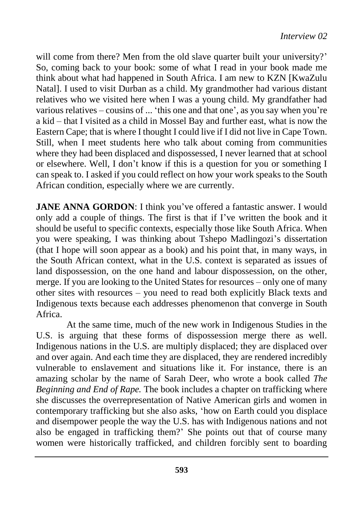will come from there? Men from the old slave quarter built your university?' So, coming back to your book: some of what I read in your book made me think about what had happened in South Africa. I am new to KZN [KwaZulu Natal]. I used to visit Durban as a child. My grandmother had various distant relatives who we visited here when I was a young child. My grandfather had various relatives – cousins of ... 'this one and that one', as you say when you're a kid – that I visited as a child in Mossel Bay and further east, what is now the Eastern Cape; that is where I thought I could live if I did not live in Cape Town. Still, when I meet students here who talk about coming from communities where they had been displaced and dispossessed, I never learned that at school or elsewhere. Well, I don't know if this is a question for you or something I can speak to. I asked if you could reflect on how your work speaks to the South African condition, especially where we are currently.

**JANE ANNA GORDON:** I think you've offered a fantastic answer. I would only add a couple of things. The first is that if I've written the book and it should be useful to specific contexts, especially those like South Africa. When you were speaking, I was thinking about Tshepo Madlingozi's dissertation (that I hope will soon appear as a book) and his point that, in many ways, in the South African context, what in the U.S. context is separated as issues of land dispossession, on the one hand and labour dispossession, on the other, merge. If you are looking to the United States for resources – only one of many other sites with resources – you need to read both explicitly Black texts and Indigenous texts because each addresses phenomenon that converge in South Africa.

At the same time, much of the new work in Indigenous Studies in the U.S. is arguing that these forms of dispossession merge there as well. Indigenous nations in the U.S. are multiply displaced; they are displaced over and over again. And each time they are displaced, they are rendered incredibly vulnerable to enslavement and situations like it. For instance, there is an amazing scholar by the name of Sarah Deer, who wrote a book called *The Beginning and End of Rape.* The book includes a chapter on trafficking where she discusses the overrepresentation of Native American girls and women in contemporary trafficking but she also asks, 'how on Earth could you displace and disempower people the way the U.S. has with Indigenous nations and not also be engaged in trafficking them?' She points out that of course many women were historically trafficked, and children forcibly sent to boarding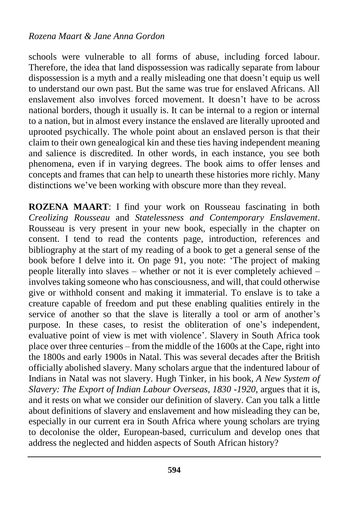schools were vulnerable to all forms of abuse, including forced labour. Therefore, the idea that land dispossession was radically separate from labour dispossession is a myth and a really misleading one that doesn't equip us well to understand our own past. But the same was true for enslaved Africans. All enslavement also involves forced movement. It doesn't have to be across national borders, though it usually is. It can be internal to a region or internal to a nation, but in almost every instance the enslaved are literally uprooted and uprooted psychically. The whole point about an enslaved person is that their claim to their own genealogical kin and these ties having independent meaning and salience is discredited. In other words, in each instance, you see both phenomena, even if in varying degrees. The book aims to offer lenses and concepts and frames that can help to unearth these histories more richly. Many distinctions we've been working with obscure more than they reveal.

**ROZENA MAART**: I find your work on Rousseau fascinating in both *Creolizing Rousseau* and *Statelessness and Contemporary Enslavement*. Rousseau is very present in your new book, especially in the chapter on consent. I tend to read the contents page, introduction, references and bibliography at the start of my reading of a book to get a general sense of the book before I delve into it. On page 91, you note: 'The project of making people literally into slaves – whether or not it is ever completely achieved – involves taking someone who has consciousness, and will, that could otherwise give or withhold consent and making it immaterial. To enslave is to take a creature capable of freedom and put these enabling qualities entirely in the service of another so that the slave is literally a tool or arm of another's purpose. In these cases, to resist the obliteration of one's independent, evaluative point of view is met with violence'. Slavery in South Africa took place over three centuries – from the middle of the 1600s at the Cape, right into the 1800s and early 1900s in Natal. This was several decades after the British officially abolished slavery. Many scholars argue that the indentured labour of Indians in Natal was not slavery. Hugh Tinker, in his book, *A New System of Slavery: The Export of Indian Labour Overseas, 1830 -1920*, argues that it is, and it rests on what we consider our definition of slavery. Can you talk a little about definitions of slavery and enslavement and how misleading they can be, especially in our current era in South Africa where young scholars are trying to decolonise the older, European-based, curriculum and develop ones that address the neglected and hidden aspects of South African history?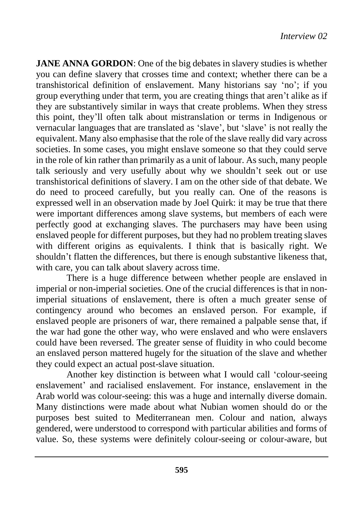**JANE ANNA GORDON:** One of the big debates in slavery studies is whether you can define slavery that crosses time and context; whether there can be a transhistorical definition of enslavement. Many historians say 'no'; if you group everything under that term, you are creating things that aren't alike as if they are substantively similar in ways that create problems. When they stress this point, they'll often talk about mistranslation or terms in Indigenous or vernacular languages that are translated as 'slave', but 'slave' is not really the equivalent. Many also emphasise that the role of the slave really did vary across societies. In some cases, you might enslave someone so that they could serve in the role of kin rather than primarily as a unit of labour. As such, many people talk seriously and very usefully about why we shouldn't seek out or use transhistorical definitions of slavery. I am on the other side of that debate. We do need to proceed carefully, but you really can. One of the reasons is expressed well in an observation made by Joel Quirk: it may be true that there were important differences among slave systems, but members of each were perfectly good at exchanging slaves. The purchasers may have been using enslaved people for different purposes, but they had no problem treating slaves with different origins as equivalents. I think that is basically right. We shouldn't flatten the differences, but there is enough substantive likeness that, with care, you can talk about slavery across time.

There is a huge difference between whether people are enslaved in imperial or non-imperial societies. One of the crucial differences is that in nonimperial situations of enslavement, there is often a much greater sense of contingency around who becomes an enslaved person. For example, if enslaved people are prisoners of war, there remained a palpable sense that, if the war had gone the other way, who were enslaved and who were enslavers could have been reversed. The greater sense of fluidity in who could become an enslaved person mattered hugely for the situation of the slave and whether they could expect an actual post-slave situation.

Another key distinction is between what I would call 'colour-seeing enslavement' and racialised enslavement. For instance, enslavement in the Arab world was colour-seeing: this was a huge and internally diverse domain. Many distinctions were made about what Nubian women should do or the purposes best suited to Mediterranean men. Colour and nation, always gendered, were understood to correspond with particular abilities and forms of value. So, these systems were definitely colour-seeing or colour-aware, but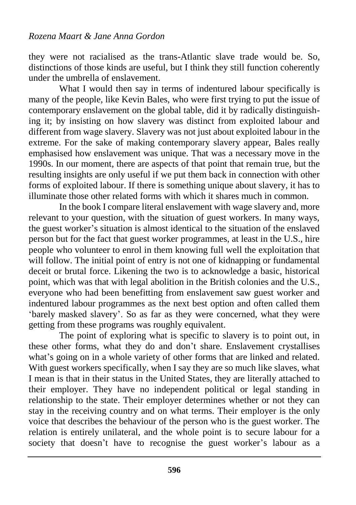they were not racialised as the trans-Atlantic slave trade would be. So, distinctions of those kinds are useful, but I think they still function coherently under the umbrella of enslavement.

What I would then say in terms of indentured labour specifically is many of the people, like Kevin Bales, who were first trying to put the issue of contemporary enslavement on the global table, did it by radically distinguishing it; by insisting on how slavery was distinct from exploited labour and different from wage slavery. Slavery was not just about exploited labour in the extreme. For the sake of making contemporary slavery appear, Bales really emphasised how enslavement was unique. That was a necessary move in the 1990s. In our moment, there are aspects of that point that remain true, but the resulting insights are only useful if we put them back in connection with other forms of exploited labour. If there is something unique about slavery, it has to illuminate those other related forms with which it shares much in common.

In the book I compare literal enslavement with wage slavery and, more relevant to your question, with the situation of guest workers. In many ways, the guest worker's situation is almost identical to the situation of the enslaved person but for the fact that guest worker programmes, at least in the U.S., hire people who volunteer to enrol in them knowing full well the exploitation that will follow. The initial point of entry is not one of kidnapping or fundamental deceit or brutal force. Likening the two is to acknowledge a basic, historical point, which was that with legal abolition in the British colonies and the U.S., everyone who had been benefitting from enslavement saw guest worker and indentured labour programmes as the next best option and often called them 'barely masked slavery'. So as far as they were concerned, what they were getting from these programs was roughly equivalent.

The point of exploring what is specific to slavery is to point out, in these other forms, what they do and don't share. Enslavement crystallises what's going on in a whole variety of other forms that are linked and related. With guest workers specifically, when I say they are so much like slaves, what I mean is that in their status in the United States, they are literally attached to their employer. They have no independent political or legal standing in relationship to the state. Their employer determines whether or not they can stay in the receiving country and on what terms. Their employer is the only voice that describes the behaviour of the person who is the guest worker. The relation is entirely unilateral, and the whole point is to secure labour for a society that doesn't have to recognise the guest worker's labour as a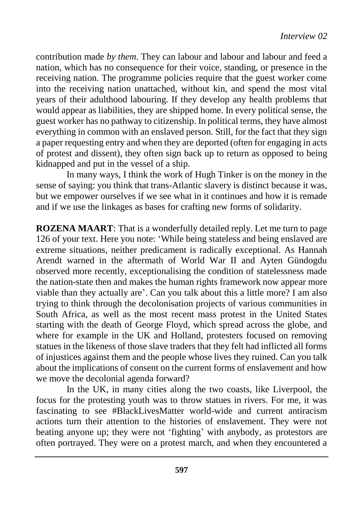contribution made *by them*. They can labour and labour and labour and feed a nation, which has no consequence for their voice, standing, or presence in the receiving nation. The programme policies require that the guest worker come into the receiving nation unattached, without kin, and spend the most vital years of their adulthood labouring. If they develop any health problems that would appear as liabilities, they are shipped home. In every political sense, the guest worker has no pathway to citizenship. In political terms, they have almost everything in common with an enslaved person. Still, for the fact that they sign a paper requesting entry and when they are deported (often for engaging in acts of protest and dissent), they often sign back up to return as opposed to being kidnapped and put in the vessel of a ship.

In many ways, I think the work of Hugh Tinker is on the money in the sense of saying: you think that trans-Atlantic slavery is distinct because it was, but we empower ourselves if we see what in it continues and how it is remade and if we use the linkages as bases for crafting new forms of solidarity.

**ROZENA MAART**: That is a wonderfully detailed reply. Let me turn to page 126 of your text. Here you note: 'While being stateless and being enslaved are extreme situations, neither predicament is radically exceptional. As Hannah Arendt warned in the aftermath of World War II and Ayten Gündogdu observed more recently, exceptionalising the condition of statelessness made the nation-state then and makes the human rights framework now appear more viable than they actually are'. Can you talk about this a little more? I am also trying to think through the decolonisation projects of various communities in South Africa, as well as the most recent mass protest in the United States starting with the death of George Floyd, which spread across the globe, and where for example in the UK and Holland, protesters focused on removing statues in the likeness of those slave traders that they felt had inflicted all forms of injustices against them and the people whose lives they ruined. Can you talk about the implications of consent on the current forms of enslavement and how we move the decolonial agenda forward?

In the UK, in many cities along the two coasts, like Liverpool, the focus for the protesting youth was to throw statues in rivers. For me, it was fascinating to see #BlackLivesMatter world-wide and current antiracism actions turn their attention to the histories of enslavement. They were not beating anyone up; they were not 'fighting' with anybody, as protestors are often portrayed. They were on a protest march, and when they encountered a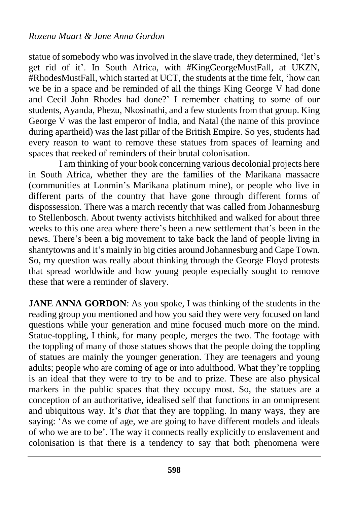statue of somebody who was involved in the slave trade, they determined, 'let's get rid of it'. In South Africa, with #KingGeorgeMustFall, at UKZN, #RhodesMustFall, which started at UCT, the students at the time felt, 'how can we be in a space and be reminded of all the things King George V had done and Cecil John Rhodes had done?' I remember chatting to some of our students, Ayanda, Phezu, Nkosinathi, and a few students from that group. King George V was the last emperor of India, and Natal (the name of this province during apartheid) was the last pillar of the British Empire. So yes, students had every reason to want to remove these statues from spaces of learning and spaces that reeked of reminders of their brutal colonisation.

I am thinking of your book concerning various decolonial projects here in South Africa, whether they are the families of the Marikana massacre (communities at Lonmin's Marikana platinum mine), or people who live in different parts of the country that have gone through different forms of dispossession. There was a march recently that was called from Johannesburg to Stellenbosch. About twenty activists hitchhiked and walked for about three weeks to this one area where there's been a new settlement that's been in the news. There's been a big movement to take back the land of people living in shantytowns and it's mainly in big cities around Johannesburg and Cape Town. So, my question was really about thinking through the George Floyd protests that spread worldwide and how young people especially sought to remove these that were a reminder of slavery.

**JANE ANNA GORDON:** As you spoke, I was thinking of the students in the reading group you mentioned and how you said they were very focused on land questions while your generation and mine focused much more on the mind. Statue-toppling, I think, for many people, merges the two. The footage with the toppling of many of those statues shows that the people doing the toppling of statues are mainly the younger generation. They are teenagers and young adults; people who are coming of age or into adulthood. What they're toppling is an ideal that they were to try to be and to prize. These are also physical markers in the public spaces that they occupy most. So, the statues are a conception of an authoritative, idealised self that functions in an omnipresent and ubiquitous way. It's *that* that they are toppling. In many ways, they are saying: 'As we come of age, we are going to have different models and ideals of who we are to be'. The way it connects really explicitly to enslavement and colonisation is that there is a tendency to say that both phenomena were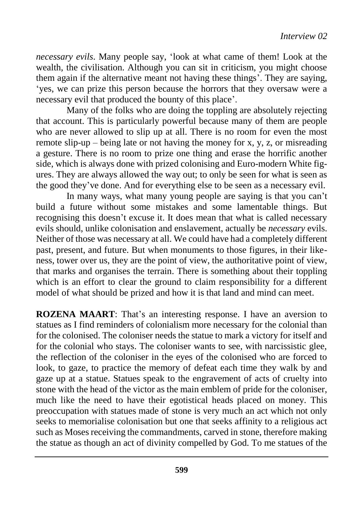*necessary evils*. Many people say, 'look at what came of them! Look at the wealth, the civilisation. Although you can sit in criticism, you might choose them again if the alternative meant not having these things'. They are saying, 'yes, we can prize this person because the horrors that they oversaw were a necessary evil that produced the bounty of this place'.

Many of the folks who are doing the toppling are absolutely rejecting that account. This is particularly powerful because many of them are people who are never allowed to slip up at all. There is no room for even the most remote slip-up – being late or not having the money for x, y, z, or misreading a gesture. There is no room to prize one thing and erase the horrific another side, which is always done with prized colonising and Euro-modern White figures. They are always allowed the way out; to only be seen for what is seen as the good they've done. And for everything else to be seen as a necessary evil.

In many ways, what many young people are saying is that you can't build a future without some mistakes and some lamentable things. But recognising this doesn't excuse it. It does mean that what is called necessary evils should, unlike colonisation and enslavement, actually be *necessary* evils. Neither of those was necessary at all. We could have had a completely different past, present, and future. But when monuments to those figures, in their likeness, tower over us, they are the point of view, the authoritative point of view, that marks and organises the terrain. There is something about their toppling which is an effort to clear the ground to claim responsibility for a different model of what should be prized and how it is that land and mind can meet.

**ROZENA MAART**: That's an interesting response. I have an aversion to statues as I find reminders of colonialism more necessary for the colonial than for the colonised. The coloniser needs the statue to mark a victory for itself and for the colonial who stays. The coloniser wants to see, with narcissistic glee, the reflection of the coloniser in the eyes of the colonised who are forced to look, to gaze, to practice the memory of defeat each time they walk by and gaze up at a statue. Statues speak to the engravement of acts of cruelty into stone with the head of the victor as the main emblem of pride for the coloniser, much like the need to have their egotistical heads placed on money. This preoccupation with statues made of stone is very much an act which not only seeks to memorialise colonisation but one that seeks affinity to a religious act such as Moses receiving the commandments, carved in stone, therefore making the statue as though an act of divinity compelled by God. To me statues of the